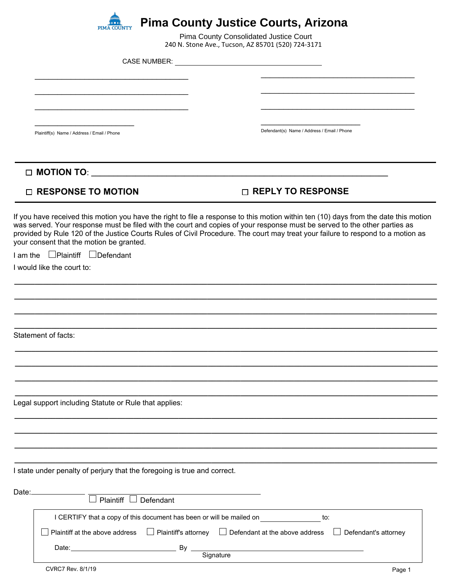

240 N. Stone Ave., Tucson, AZ 85701 (520) 724-3171 Pima County Consolidated Justice Court

CASE NUMBER:

\_\_\_\_\_\_\_\_\_\_\_\_\_\_\_\_\_\_\_\_\_\_\_\_\_\_\_\_\_\_\_\_\_\_

\_\_\_\_\_\_\_\_\_\_\_\_\_\_\_\_\_\_\_\_\_\_\_\_\_\_\_\_\_\_\_\_\_\_

\_\_\_\_\_\_\_\_\_\_\_\_\_\_\_\_\_\_\_\_\_\_\_\_\_\_\_\_\_\_\_\_\_\_

Plaintiff(s) Name / Address / Email / Phone

 $\mathcal{L}=\mathcal{L}^{\mathcal{L}}$  , where  $\mathcal{L}^{\mathcal{L}}$  , we have the set of the set of the set of the set of the set of the set of the set of the set of the set of the set of the set of the set of the set of the set of the set of

 $\overline{\phantom{a}}$  , where  $\overline{\phantom{a}}$  , where  $\overline{\phantom{a}}$ Defendant(s) Name / Address / Email / Phone

 $\overline{\phantom{a}}$  , where  $\overline{\phantom{a}}$  , where  $\overline{\phantom{a}}$  ,  $\overline{\phantom{a}}$  ,  $\overline{\phantom{a}}$  ,  $\overline{\phantom{a}}$  ,  $\overline{\phantom{a}}$  ,  $\overline{\phantom{a}}$  ,  $\overline{\phantom{a}}$  ,  $\overline{\phantom{a}}$  ,  $\overline{\phantom{a}}$  ,  $\overline{\phantom{a}}$  ,  $\overline{\phantom{a}}$  ,  $\overline{\phantom{a}}$  ,  $\overline{\phantom{a}}$  ,

 $\overline{\phantom{a}}$  , where  $\overline{\phantom{a}}$  , where  $\overline{\phantom{a}}$  ,  $\overline{\phantom{a}}$  ,  $\overline{\phantom{a}}$  ,  $\overline{\phantom{a}}$  ,  $\overline{\phantom{a}}$  ,  $\overline{\phantom{a}}$  ,  $\overline{\phantom{a}}$  ,  $\overline{\phantom{a}}$  ,  $\overline{\phantom{a}}$  ,  $\overline{\phantom{a}}$  ,  $\overline{\phantom{a}}$  ,  $\overline{\phantom{a}}$  ,  $\overline{\phantom{a}}$  ,

 $\overline{\phantom{a}}$  , where  $\overline{\phantom{a}}$  , where  $\overline{\phantom{a}}$  , where  $\overline{\phantom{a}}$  , where  $\overline{\phantom{a}}$ 

**□ MOTION TO**: **\_\_\_\_\_\_\_\_\_\_\_\_\_\_\_\_\_\_\_\_\_\_\_\_\_\_\_\_\_\_\_\_\_\_\_\_\_\_\_\_\_\_\_\_\_\_\_\_\_\_\_\_\_\_\_\_\_\_\_\_\_\_\_\_\_\_\_**

## **□ RESPONSE TO MOTION □ REPLY TO RESPONSE**

If you have received this motion you have the right to file a response to this motion within ten (10) days from the date this motion was served. Your response must be filed with the court and copies of your response must be served to the other parties as provided by Rule 120 of the Justice Courts Rules of Civil Procedure. The court may treat your failure to respond to a motion as your consent that the motion be granted.

**\_\_\_\_\_\_\_\_\_\_\_\_\_\_\_\_\_\_\_\_\_\_\_\_\_\_\_\_\_\_\_\_\_\_\_\_\_\_\_\_\_\_\_\_\_\_\_\_\_\_\_\_\_\_\_\_\_\_\_\_\_\_\_\_\_\_\_\_\_\_\_\_\_\_\_\_\_\_\_\_\_\_\_\_\_\_\_\_\_\_\_\_\_\_\_\_\_\_\_\_\_\_\_**

**\_\_\_\_\_\_\_\_\_\_\_\_\_\_\_\_\_\_\_\_\_\_\_\_\_\_\_\_\_\_\_\_\_\_\_\_\_\_\_\_\_\_\_\_\_\_\_\_\_\_\_\_\_\_\_\_\_\_\_\_\_\_\_\_\_\_\_\_\_\_\_\_\_\_\_\_\_\_\_\_\_\_\_\_\_\_\_\_\_\_\_\_\_\_\_\_\_\_\_\_\_\_\_**

**\_\_\_\_\_\_\_\_\_\_\_\_\_\_\_\_\_\_\_\_\_\_\_\_\_\_\_\_\_\_\_\_\_\_\_\_\_\_\_\_\_\_\_\_\_\_\_\_\_\_\_\_\_\_\_\_\_\_\_\_\_\_\_\_\_\_\_\_\_\_\_\_\_\_\_\_\_\_\_\_\_\_\_\_\_\_\_\_\_\_\_\_\_\_\_\_\_\_\_\_\_\_\_**

**\_\_\_\_\_\_\_\_\_\_\_\_\_\_\_\_\_\_\_\_\_\_\_\_\_\_\_\_\_\_\_\_\_\_\_\_\_\_\_\_\_\_\_\_\_\_\_\_\_\_\_\_\_\_\_\_\_\_\_\_\_\_\_\_\_\_\_\_\_\_\_\_\_\_\_\_\_\_\_\_\_\_\_\_\_\_\_\_\_\_\_\_\_\_\_\_\_\_\_\_\_\_\_**

**\_\_\_\_\_\_\_\_\_\_\_\_\_\_\_\_\_\_\_\_\_\_\_\_\_\_\_\_\_\_\_\_\_\_\_\_\_\_\_\_\_\_\_\_\_\_\_\_\_\_\_\_\_\_\_\_\_\_\_\_\_\_\_\_\_\_\_\_\_\_\_\_\_\_\_\_\_\_\_\_\_\_\_\_\_\_\_\_\_\_\_\_\_\_\_\_\_\_\_\_\_\_\_**

**\_\_\_\_\_\_\_\_\_\_\_\_\_\_\_\_\_\_\_\_\_\_\_\_\_\_\_\_\_\_\_\_\_\_\_\_\_\_\_\_\_\_\_\_\_\_\_\_\_\_\_\_\_\_\_\_\_\_\_\_\_\_\_\_\_\_\_\_\_\_\_\_\_\_\_\_\_\_\_\_\_\_\_\_\_\_\_\_\_\_\_\_\_\_\_\_\_\_\_\_\_\_\_**

**\_\_\_\_\_\_\_\_\_\_\_\_\_\_\_\_\_\_\_\_\_\_\_\_\_\_\_\_\_\_\_\_\_\_\_\_\_\_\_\_\_\_\_\_\_\_\_\_\_\_\_\_\_\_\_\_\_\_\_\_\_\_\_\_\_\_\_\_\_\_\_\_\_\_\_\_\_\_\_\_\_\_\_\_\_\_\_\_\_\_\_\_\_\_\_\_\_\_\_\_\_\_\_**

**\_\_\_\_\_\_\_\_\_\_\_\_\_\_\_\_\_\_\_\_\_\_\_\_\_\_\_\_\_\_\_\_\_\_\_\_\_\_\_\_\_\_\_\_\_\_\_\_\_\_\_\_\_\_\_\_\_\_\_\_\_\_\_\_\_\_\_\_\_\_\_\_\_\_\_\_\_\_\_\_\_\_\_\_\_\_\_\_\_\_\_\_\_\_\_\_\_\_\_\_\_\_\_**

**\_\_\_\_\_\_\_\_\_\_\_\_\_\_\_\_\_\_\_\_\_\_\_\_\_\_\_\_\_\_\_\_\_\_\_\_\_\_\_\_\_\_\_\_\_\_\_\_\_\_\_\_\_\_\_\_\_\_\_\_\_\_\_\_\_\_\_\_\_\_\_\_\_\_\_\_\_\_\_\_\_\_\_\_\_\_\_\_\_\_\_\_\_\_\_\_\_\_\_\_\_\_\_**

**\_\_\_\_\_\_\_\_\_\_\_\_\_\_\_\_\_\_\_\_\_\_\_\_\_\_\_\_\_\_\_\_\_\_\_\_\_\_\_\_\_\_\_\_\_\_\_\_\_\_\_\_\_\_\_\_\_\_\_\_\_\_\_\_\_\_\_\_\_\_\_\_\_\_\_\_\_\_\_\_\_\_\_\_\_\_\_\_\_\_\_\_\_\_\_\_\_\_\_\_\_\_\_**

**\_\_\_\_\_\_\_\_\_\_\_\_\_\_\_\_\_\_\_\_\_\_\_\_\_\_\_\_\_\_\_\_\_\_\_\_\_\_\_\_\_\_\_\_\_\_\_\_\_\_\_\_\_\_\_\_\_\_\_\_\_\_\_\_\_\_\_\_\_\_\_\_\_\_\_\_\_\_\_\_\_\_\_\_\_\_\_\_\_\_\_\_\_\_\_\_\_\_\_\_\_\_\_**

**\_\_\_\_\_\_\_\_\_\_\_\_\_\_\_\_\_\_\_\_\_\_\_\_\_\_\_\_\_\_\_\_\_\_\_\_\_\_\_\_\_\_\_\_\_\_\_\_\_\_\_\_\_\_\_\_\_\_\_\_\_\_\_\_\_\_\_\_\_\_\_\_\_\_\_\_\_\_\_\_\_\_\_\_\_\_\_\_\_\_\_\_\_\_\_\_\_\_\_\_\_\_\_**

I am the  $\Box$ Plaintiff  $\Box$ Defendant

I would like the court to:

Statement of facts:

Legal support including Statute or Rule that applies:

I state under penalty of perjury that the foregoing is true and correct.

| Date: | $\sim$                         |                                                                             |                                                                   |                             |  |
|-------|--------------------------------|-----------------------------------------------------------------------------|-------------------------------------------------------------------|-----------------------------|--|
|       | Plaintiff $\Box$<br>Defendant  |                                                                             |                                                                   |                             |  |
|       |                                | I CERTIFY that a copy of this document has been or will be mailed on<br>to: |                                                                   |                             |  |
|       | Plaintiff at the above address |                                                                             | $\Box$ Plaintiff's attorney $\Box$ Defendant at the above address | $\Box$ Defendant's attorney |  |
|       | Date:                          | By                                                                          |                                                                   |                             |  |
|       |                                | Signature                                                                   |                                                                   |                             |  |
|       | CVRC7 Rev. 8/1/19              |                                                                             |                                                                   | Page 1                      |  |